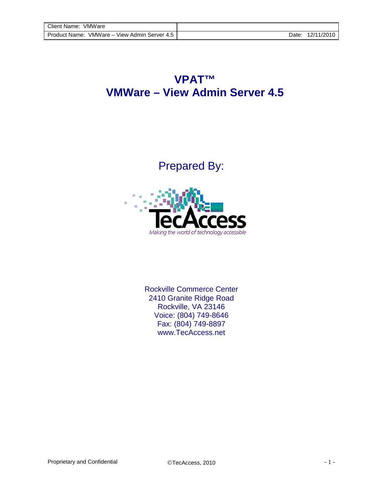## **VPAT™ VMWare – View Admin Server 4.5**

Prepared By:



Rockville Commerce Center 2410 Granite Ridge Road Rockville, VA 23146 Voice: (804) 749-8646 Fax: (804) 749-8897 [www.TecAccess.net](http://www.tecaccess.net)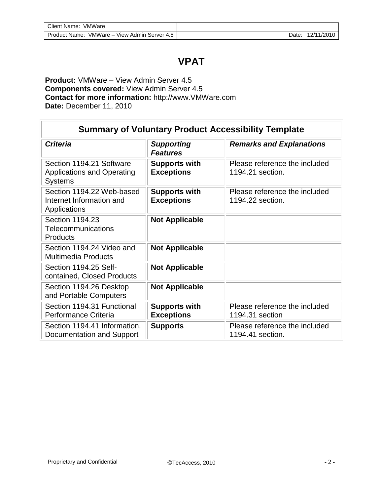## **VPAT**

**Product:** VMWare – View Admin Server 4.5 **Components covered:** View Admin Server 4.5 **Contact for more information:** [http://www.VMWare.com](http://www.vmware.com) **Date:** December 11, 2010

| <b>Summary of Voluntary Product Accessibility Template</b>                      |                                           |                                                   |  |
|---------------------------------------------------------------------------------|-------------------------------------------|---------------------------------------------------|--|
| <b>Criteria</b>                                                                 | <b>Supporting</b><br><b>Features</b>      | <b>Remarks and Explanations</b>                   |  |
| Section 1194.21 Software<br><b>Applications and Operating</b><br><b>Systems</b> | <b>Supports with</b><br><b>Exceptions</b> | Please reference the included<br>1194.21 section. |  |
| Section 1194.22 Web-based<br>Internet Information and<br>Applications           | <b>Supports with</b><br><b>Exceptions</b> | Please reference the included<br>1194.22 section. |  |
| Section 1194.23<br>Telecommunications<br>Products                               | <b>Not Applicable</b>                     |                                                   |  |
| Section 1194.24 Video and<br><b>Multimedia Products</b>                         | <b>Not Applicable</b>                     |                                                   |  |
| Section 1194.25 Self-<br>contained, Closed Products                             | <b>Not Applicable</b>                     |                                                   |  |
| Section 1194.26 Desktop<br>and Portable Computers                               | <b>Not Applicable</b>                     |                                                   |  |
| Section 1194.31 Functional<br>Performance Criteria                              | <b>Supports with</b><br><b>Exceptions</b> | Please reference the included<br>1194.31 section  |  |
| Section 1194.41 Information,<br>Documentation and Support                       | <b>Supports</b>                           | Please reference the included<br>1194.41 section. |  |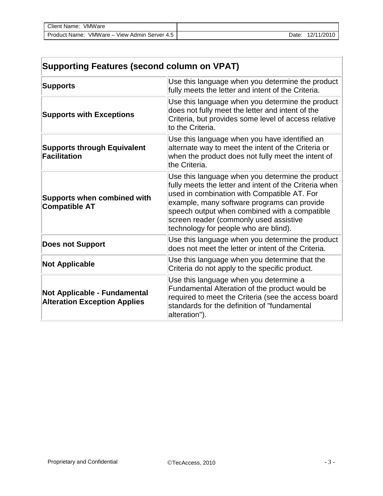| Client Name: VMWare                          |       |            |
|----------------------------------------------|-------|------------|
| Product Name: VMWare – View Admin Server 4.5 | Date: | 12/11/2010 |

| <b>Supporting Features (second column on VPAT)</b>                         |                                                                                                                                                                                                                                                                                                                                              |  |
|----------------------------------------------------------------------------|----------------------------------------------------------------------------------------------------------------------------------------------------------------------------------------------------------------------------------------------------------------------------------------------------------------------------------------------|--|
| <b>Supports</b>                                                            | Use this language when you determine the product<br>fully meets the letter and intent of the Criteria.                                                                                                                                                                                                                                       |  |
| <b>Supports with Exceptions</b>                                            | Use this language when you determine the product<br>does not fully meet the letter and intent of the<br>Criteria, but provides some level of access relative<br>to the Criteria.                                                                                                                                                             |  |
| <b>Supports through Equivalent</b><br><b>Facilitation</b>                  | Use this language when you have identified an<br>alternate way to meet the intent of the Criteria or<br>when the product does not fully meet the intent of<br>the Criteria.                                                                                                                                                                  |  |
| <b>Supports when combined with</b><br><b>Compatible AT</b>                 | Use this language when you determine the product<br>fully meets the letter and intent of the Criteria when<br>used in combination with Compatible AT. For<br>example, many software programs can provide<br>speech output when combined with a compatible<br>screen reader (commonly used assistive<br>technology for people who are blind). |  |
| <b>Does not Support</b>                                                    | Use this language when you determine the product<br>does not meet the letter or intent of the Criteria.                                                                                                                                                                                                                                      |  |
| <b>Not Applicable</b>                                                      | Use this language when you determine that the<br>Criteria do not apply to the specific product.                                                                                                                                                                                                                                              |  |
| <b>Not Applicable - Fundamental</b><br><b>Alteration Exception Applies</b> | Use this language when you determine a<br>Fundamental Alteration of the product would be<br>required to meet the Criteria (see the access board<br>standards for the definition of "fundamental<br>alteration").                                                                                                                             |  |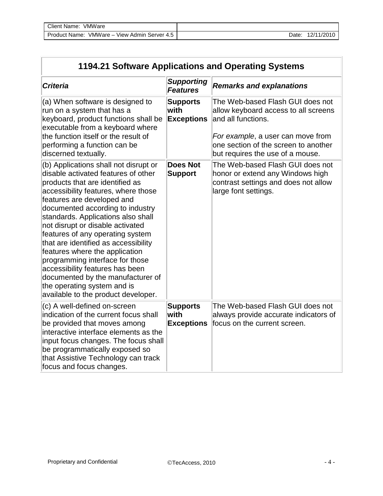| Client Name: VMWare                          |       |            |
|----------------------------------------------|-------|------------|
| Product Name: VMWare – View Admin Server 4.5 | Date: | 12/11/2010 |

| 1194.21 Software Applications and Operating Systems                                                                                                                                                                                                                                                                                                                                                                                                                                                                                                                                               |                                              |                                                                                                                                                                                                                 |  |
|---------------------------------------------------------------------------------------------------------------------------------------------------------------------------------------------------------------------------------------------------------------------------------------------------------------------------------------------------------------------------------------------------------------------------------------------------------------------------------------------------------------------------------------------------------------------------------------------------|----------------------------------------------|-----------------------------------------------------------------------------------------------------------------------------------------------------------------------------------------------------------------|--|
| <b>Criteria</b>                                                                                                                                                                                                                                                                                                                                                                                                                                                                                                                                                                                   | <b>Supporting</b><br><b>Features</b>         | <b>Remarks and explanations</b>                                                                                                                                                                                 |  |
| (a) When software is designed to<br>run on a system that has a<br>keyboard, product functions shall be<br>executable from a keyboard where<br>the function itself or the result of<br>performing a function can be<br>discerned textually.                                                                                                                                                                                                                                                                                                                                                        | <b>Supports</b><br>with<br><b>Exceptions</b> | The Web-based Flash GUI does not<br>allow keyboard access to all screens<br>and all functions.<br>For example, a user can move from<br>one section of the screen to another<br>but requires the use of a mouse. |  |
| (b) Applications shall not disrupt or<br>disable activated features of other<br>products that are identified as<br>accessibility features, where those<br>features are developed and<br>documented according to industry<br>standards. Applications also shall<br>not disrupt or disable activated<br>features of any operating system<br>that are identified as accessibility<br>features where the application<br>programming interface for those<br>accessibility features has been<br>documented by the manufacturer of<br>the operating system and is<br>available to the product developer. | <b>Does Not</b><br><b>Support</b>            | The Web-based Flash GUI does not<br>honor or extend any Windows high<br>contrast settings and does not allow<br>large font settings.                                                                            |  |
| (c) A well-defined on-screen<br>indication of the current focus shall<br>be provided that moves among<br>interactive interface elements as the<br>input focus changes. The focus shall<br>be programmatically exposed so<br>that Assistive Technology can track<br>focus and focus changes.                                                                                                                                                                                                                                                                                                       | <b>Supports</b><br>with<br><b>Exceptions</b> | The Web-based Flash GUI does not<br>always provide accurate indicators of<br>focus on the current screen.                                                                                                       |  |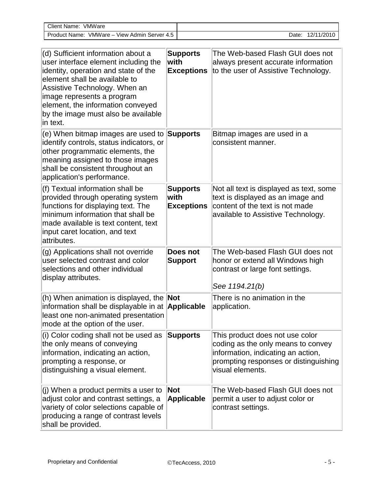| VMWare<br>Client Name:                          |       |            |
|-------------------------------------------------|-------|------------|
| VMWare - View Admin Server 4.5<br>Product Name: | Date: | 12/11/2010 |

| (d) Sufficient information about a<br>user interface element including the<br>identity, operation and state of the<br>element shall be available to<br>Assistive Technology. When an<br>image represents a program<br>element, the information conveyed<br>by the image must also be available<br>in text. | <b>Supports</b><br>with<br><b>Exceptions</b> | The Web-based Flash GUI does not<br>always present accurate information<br>to the user of Assistive Technology.                                                          |
|------------------------------------------------------------------------------------------------------------------------------------------------------------------------------------------------------------------------------------------------------------------------------------------------------------|----------------------------------------------|--------------------------------------------------------------------------------------------------------------------------------------------------------------------------|
| (e) When bitmap images are used to<br>identify controls, status indicators, or<br>other programmatic elements, the<br>meaning assigned to those images<br>shall be consistent throughout an<br>application's performance.                                                                                  | Supports                                     | Bitmap images are used in a<br>consistent manner.                                                                                                                        |
| (f) Textual information shall be<br>provided through operating system<br>functions for displaying text. The<br>minimum information that shall be<br>made available is text content, text<br>input caret location, and text<br>attributes.                                                                  | <b>Supports</b><br>with<br><b>Exceptions</b> | Not all text is displayed as text, some<br>text is displayed as an image and<br>content of the text is not made<br>available to Assistive Technology.                    |
| (g) Applications shall not override<br>user selected contrast and color<br>selections and other individual<br>display attributes.                                                                                                                                                                          | Does not<br><b>Support</b>                   | The Web-based Flash GUI does not<br>honor or extend all Windows high<br>contrast or large font settings.<br>See 1194.21(b)                                               |
| (h) When animation is displayed, the <b>Not</b><br>information shall be displayable in at <b>Applicable</b><br>least one non-animated presentation<br>mode at the option of the user.                                                                                                                      |                                              | There is no animation in the<br>application.                                                                                                                             |
| $(i)$ Color coding shall not be used as<br>the only means of conveying<br>information, indicating an action,<br>prompting a response, or<br>distinguishing a visual element.                                                                                                                               | <b>Supports</b>                              | This product does not use color<br>coding as the only means to convey<br>information, indicating an action,<br>prompting responses or distinguishing<br>visual elements. |
| $(i)$ When a product permits a user to<br>adjust color and contrast settings, a<br>variety of color selections capable of<br>producing a range of contrast levels<br>shall be provided.                                                                                                                    | <b>Not</b><br><b>Applicable</b>              | The Web-based Flash GUI does not<br>permit a user to adjust color or<br>contrast settings.                                                                               |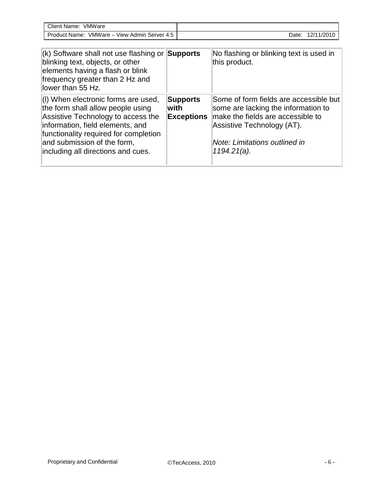| <b>Client</b><br>VMWare<br>: Name:                |       |            |
|---------------------------------------------------|-------|------------|
| VMWare-<br>View Admin Server 4.5<br>Product Name: | Date: | 12/11/2010 |

| $\vert$ (k) Software shall not use flashing or Supports<br>blinking text, objects, or other<br>elements having a flash or blink<br>frequency greater than 2 Hz and<br>llower than 55 Hz.                                                                         |                                              | No flashing or blinking text is used in<br>this product.                                                                                                                                            |
|------------------------------------------------------------------------------------------------------------------------------------------------------------------------------------------------------------------------------------------------------------------|----------------------------------------------|-----------------------------------------------------------------------------------------------------------------------------------------------------------------------------------------------------|
| (I) When electronic forms are used,<br>the form shall allow people using<br>Assistive Technology to access the<br>information, field elements, and<br>functionality required for completion<br>and submission of the form,<br>including all directions and cues. | <b>Supports</b><br>with<br><b>Exceptions</b> | Some of form fields are accessible but<br>some are lacking the information to<br>make the fields are accessible to<br>Assistive Technology (AT).<br>Note: Limitations outlined in<br>$1194.21(a)$ . |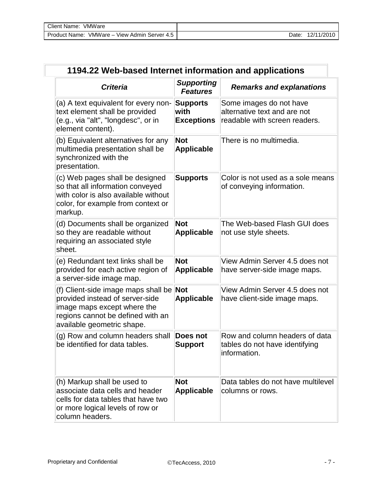| Client Name: VMWare                          |                  |
|----------------------------------------------|------------------|
| Product Name: VMWare – View Admin Server 4.5 | Date: 12/11/2010 |

| 1194.22 Web-based Internet information and applications                                                                                                                  |                                              |                                                                                          |  |
|--------------------------------------------------------------------------------------------------------------------------------------------------------------------------|----------------------------------------------|------------------------------------------------------------------------------------------|--|
| <b>Criteria</b>                                                                                                                                                          | <b>Supporting</b><br><b>Features</b>         | <b>Remarks and explanations</b>                                                          |  |
| (a) A text equivalent for every non-<br>text element shall be provided<br>(e.g., via "alt", "longdesc", or in<br>element content).                                       | <b>Supports</b><br>with<br><b>Exceptions</b> | Some images do not have<br>alternative text and are not<br>readable with screen readers. |  |
| (b) Equivalent alternatives for any<br>multimedia presentation shall be<br>synchronized with the<br>presentation.                                                        | <b>Not</b><br><b>Applicable</b>              | There is no multimedia.                                                                  |  |
| (c) Web pages shall be designed<br>so that all information conveyed<br>with color is also available without<br>color, for example from context or<br>markup.             | <b>Supports</b>                              | Color is not used as a sole means<br>of conveying information.                           |  |
| (d) Documents shall be organized<br>so they are readable without<br>requiring an associated style<br>sheet.                                                              | <b>Not</b><br><b>Applicable</b>              | The Web-based Flash GUI does<br>not use style sheets.                                    |  |
| (e) Redundant text links shall be<br>provided for each active region of<br>a server-side image map.                                                                      | <b>Not</b><br><b>Applicable</b>              | View Admin Server 4.5 does not<br>have server-side image maps.                           |  |
| (f) Client-side image maps shall be<br>provided instead of server-side<br>image maps except where the<br>regions cannot be defined with an<br>available geometric shape. | Not<br><b>Applicable</b>                     | View Admin Server 4.5 does not<br>have client-side image maps.                           |  |
| (g) Row and column headers shall<br>be identified for data tables.                                                                                                       | Does not<br><b>Support</b>                   | Row and column headers of data<br>tables do not have identifying<br>information.         |  |
| (h) Markup shall be used to<br>associate data cells and header<br>cells for data tables that have two<br>or more logical levels of row or<br>column headers.             | <b>Not</b><br><b>Applicable</b>              | Data tables do not have multilevel<br>columns or rows.                                   |  |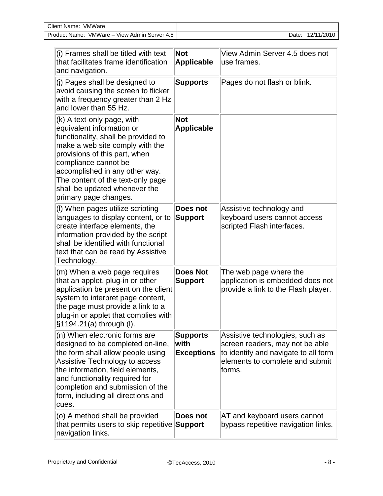| <b>Client Name:</b><br>VMWare                   |       |            |
|-------------------------------------------------|-------|------------|
| VMWare - View Admin Server 4.5<br>Product Name: | Date. | 12/11/2010 |

| (i) Frames shall be titled with text<br>that facilitates frame identification<br>and navigation.                                                                                                                                                                                                                            | <b>Not</b><br><b>Applicable</b>              | View Admin Server 4.5 does not<br>use frames.                                                                                                           |
|-----------------------------------------------------------------------------------------------------------------------------------------------------------------------------------------------------------------------------------------------------------------------------------------------------------------------------|----------------------------------------------|---------------------------------------------------------------------------------------------------------------------------------------------------------|
| (i) Pages shall be designed to<br>avoid causing the screen to flicker<br>with a frequency greater than 2 Hz<br>and lower than 55 Hz.                                                                                                                                                                                        | <b>Supports</b>                              | Pages do not flash or blink.                                                                                                                            |
| (k) A text-only page, with<br>equivalent information or<br>functionality, shall be provided to<br>make a web site comply with the<br>provisions of this part, when<br>compliance cannot be<br>accomplished in any other way.<br>The content of the text-only page<br>shall be updated whenever the<br>primary page changes. | <b>Not</b><br><b>Applicable</b>              |                                                                                                                                                         |
| (I) When pages utilize scripting<br>languages to display content, or to<br>create interface elements, the<br>information provided by the script<br>shall be identified with functional<br>text that can be read by Assistive<br>Technology.                                                                                 | Does not<br><b>Support</b>                   | Assistive technology and<br>keyboard users cannot access<br>scripted Flash interfaces.                                                                  |
| (m) When a web page requires<br>that an applet, plug-in or other<br>application be present on the client<br>system to interpret page content,<br>the page must provide a link to a<br>plug-in or applet that complies with<br>§1194.21(a) through (I).                                                                      | <b>Does Not</b><br><b>Support</b>            | The web page where the<br>application is embedded does not<br>provide a link to the Flash player.                                                       |
| (n) When electronic forms are<br>designed to be completed on-line,<br>the form shall allow people using<br>Assistive Technology to access<br>the information, field elements,<br>and functionality required for<br>completion and submission of the<br>form, including all directions and<br>cues.                          | <b>Supports</b><br>with<br><b>Exceptions</b> | Assistive technologies, such as<br>screen readers, may not be able<br>to identify and navigate to all form<br>elements to complete and submit<br>forms. |
| (o) A method shall be provided<br>that permits users to skip repetitive Support<br>navigation links.                                                                                                                                                                                                                        | Does not                                     | AT and keyboard users cannot<br>bypass repetitive navigation links.                                                                                     |

 $\overline{\phantom{a}}$  $\mathbf{I}$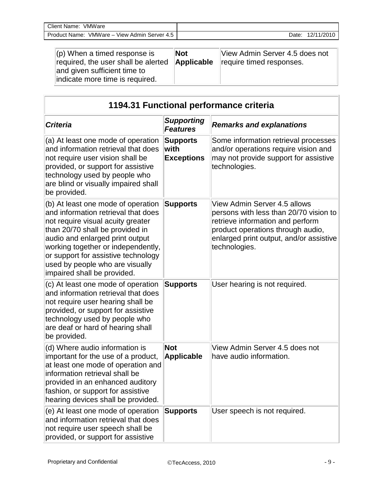| Client Name:<br>VMWare                                   |       |            |
|----------------------------------------------------------|-------|------------|
| View Admin<br>VMWare-<br>Product Name:<br>∟Server<br>4.5 | Date: | 12/11/2010 |

| $\parallel$ (p) When a timed response is<br>required, the user shall be alerted<br>and given sufficient time to<br>indicate more time is required. | INot<br>Applicable | View Admin Server 4.5 does not<br>require timed responses. |
|----------------------------------------------------------------------------------------------------------------------------------------------------|--------------------|------------------------------------------------------------|
|----------------------------------------------------------------------------------------------------------------------------------------------------|--------------------|------------------------------------------------------------|

| 1194.31 Functional performance criteria                                                                                                                                                                                                                                                                                             |                                              |                                                                                                                                                                                                             |
|-------------------------------------------------------------------------------------------------------------------------------------------------------------------------------------------------------------------------------------------------------------------------------------------------------------------------------------|----------------------------------------------|-------------------------------------------------------------------------------------------------------------------------------------------------------------------------------------------------------------|
| <b>Criteria</b>                                                                                                                                                                                                                                                                                                                     | <b>Supporting</b><br><b>Features</b>         | <b>Remarks and explanations</b>                                                                                                                                                                             |
| (a) At least one mode of operation<br>and information retrieval that does<br>not require user vision shall be<br>provided, or support for assistive<br>technology used by people who<br>are blind or visually impaired shall<br>be provided.                                                                                        | <b>Supports</b><br>with<br><b>Exceptions</b> | Some information retrieval processes<br>and/or operations require vision and<br>may not provide support for assistive<br>technologies.                                                                      |
| (b) At least one mode of operation<br>and information retrieval that does<br>not require visual acuity greater<br>than 20/70 shall be provided in<br>audio and enlarged print output<br>working together or independently,<br>or support for assistive technology<br>used by people who are visually<br>impaired shall be provided. | <b>Supports</b>                              | View Admin Server 4.5 allows<br>persons with less than 20/70 vision to<br>retrieve information and perform<br>product operations through audio,<br>enlarged print output, and/or assistive<br>technologies. |
| (c) At least one mode of operation<br>and information retrieval that does<br>not require user hearing shall be<br>provided, or support for assistive<br>technology used by people who<br>are deaf or hard of hearing shall<br>be provided.                                                                                          | <b>Supports</b>                              | User hearing is not required.                                                                                                                                                                               |
| (d) Where audio information is<br>important for the use of a product,<br>at least one mode of operation and<br>information retrieval shall be<br>provided in an enhanced auditory<br>fashion, or support for assistive<br>hearing devices shall be provided.                                                                        | <b>Not</b><br><b>Applicable</b>              | View Admin Server 4.5 does not<br>have audio information.                                                                                                                                                   |
| (e) At least one mode of operation<br>and information retrieval that does<br>not require user speech shall be<br>provided, or support for assistive                                                                                                                                                                                 | <b>Supports</b>                              | User speech is not required.                                                                                                                                                                                |